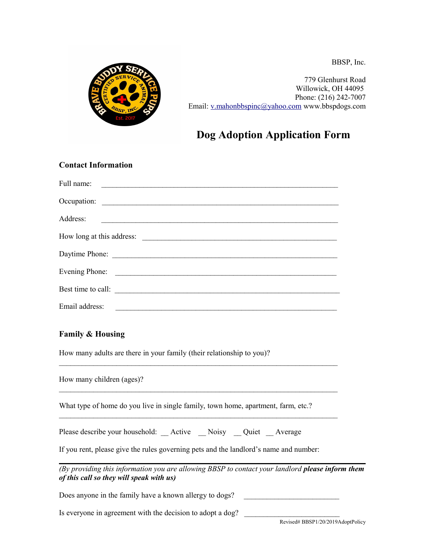BBSP, Inc.



779 Glenhurst Road Willowick, OH 44095 Phone: (216) 242-7007 Email: [v.mahonbbspinc@yahoo.com](mailto:v.mahonbbspinc@yahoo.com) www.bbspdogs.com

## **Dog Adoption Application Form**

## **Contact Information**

| Full name:         |  |
|--------------------|--|
|                    |  |
| Address:           |  |
|                    |  |
|                    |  |
|                    |  |
| Best time to call: |  |
| Email address:     |  |

 $\_$ 

## **Family & Housing**

How many adults are there in your family (their relationship to you)?

| How many children (ages)?                                                                                                                           |
|-----------------------------------------------------------------------------------------------------------------------------------------------------|
| What type of home do you live in single family, town home, apartment, farm, etc.?                                                                   |
| Please describe your household: Active _Noisy _Quiet _Average                                                                                       |
| If you rent, please give the rules governing pets and the landlord's name and number:                                                               |
| (By providing this information you are allowing BBSP to contact your landlord <b>please inform them</b><br>of this call so they will speak with us) |
| Does anyone in the family have a known allergy to dogs?                                                                                             |
| Is everyone in agreement with the decision to adopt a dog?                                                                                          |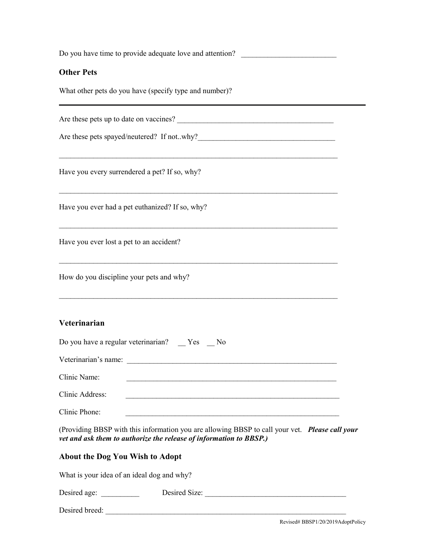| Do you have time to provide adequate love and attention?                                                                                                             |  |
|----------------------------------------------------------------------------------------------------------------------------------------------------------------------|--|
| <b>Other Pets</b>                                                                                                                                                    |  |
| What other pets do you have (specify type and number)?                                                                                                               |  |
|                                                                                                                                                                      |  |
|                                                                                                                                                                      |  |
| Have you every surrendered a pet? If so, why?                                                                                                                        |  |
| Have you ever had a pet euthanized? If so, why?                                                                                                                      |  |
| Have you ever lost a pet to an accident?                                                                                                                             |  |
| How do you discipline your pets and why?                                                                                                                             |  |
| Veterinarian                                                                                                                                                         |  |
| Do you have a regular veterinarian? __ Yes __ No                                                                                                                     |  |
| Veterinarian's name:                                                                                                                                                 |  |
| Clinic Name:                                                                                                                                                         |  |
| Clinic Address:                                                                                                                                                      |  |
| Clinic Phone:                                                                                                                                                        |  |
| (Providing BBSP with this information you are allowing BBSP to call your vet. Please call your<br>vet and ask them to authorize the release of information to BBSP.) |  |
| <b>About the Dog You Wish to Adopt</b>                                                                                                                               |  |
| What is your idea of an ideal dog and why?                                                                                                                           |  |
|                                                                                                                                                                      |  |
| Desired breed:                                                                                                                                                       |  |
| Revised# BBSP1/20/2019AdoptPolicy                                                                                                                                    |  |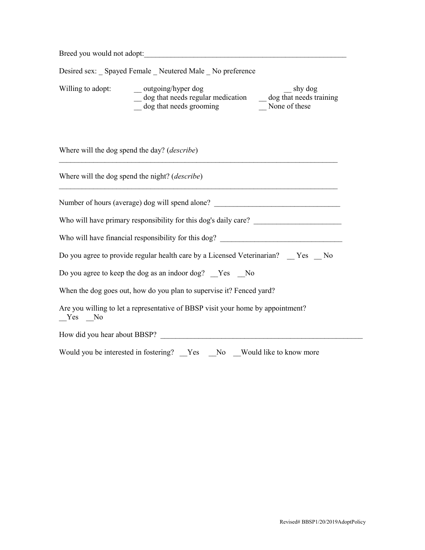| Breed you would not adopt:                                                                                                                                                                                         |  |  |
|--------------------------------------------------------------------------------------------------------------------------------------------------------------------------------------------------------------------|--|--|
| Desired sex: Spayed Female Neutered Male No preference                                                                                                                                                             |  |  |
| Willing to adopt:<br>$\_\_$ outgoing/hyper dog<br>shy dog<br>$\frac{1}{\sqrt{2\pi}}$ dog that needs regular medication $\frac{1}{\sqrt{2\pi}}$ dog that needs training<br>dog that needs grooming<br>None of these |  |  |
| Where will the dog spend the day? ( <i>describe</i> )                                                                                                                                                              |  |  |
| Where will the dog spend the night? ( <i>describe</i> )                                                                                                                                                            |  |  |
| Number of hours (average) dog will spend alone? _________________________________                                                                                                                                  |  |  |
|                                                                                                                                                                                                                    |  |  |
| Who will have financial responsibility for this dog? ____________________________                                                                                                                                  |  |  |
| Do you agree to provide regular health care by a Licensed Veterinarian? Yes No                                                                                                                                     |  |  |
| Do you agree to keep the dog as an indoor dog? Yes No                                                                                                                                                              |  |  |
| When the dog goes out, how do you plan to supervise it? Fenced yard?                                                                                                                                               |  |  |
| Are you willing to let a representative of BBSP visit your home by appointment?<br>$Yes$ No                                                                                                                        |  |  |
|                                                                                                                                                                                                                    |  |  |
| Would you be interested in fostering? __Yes __No __Would like to know more                                                                                                                                         |  |  |